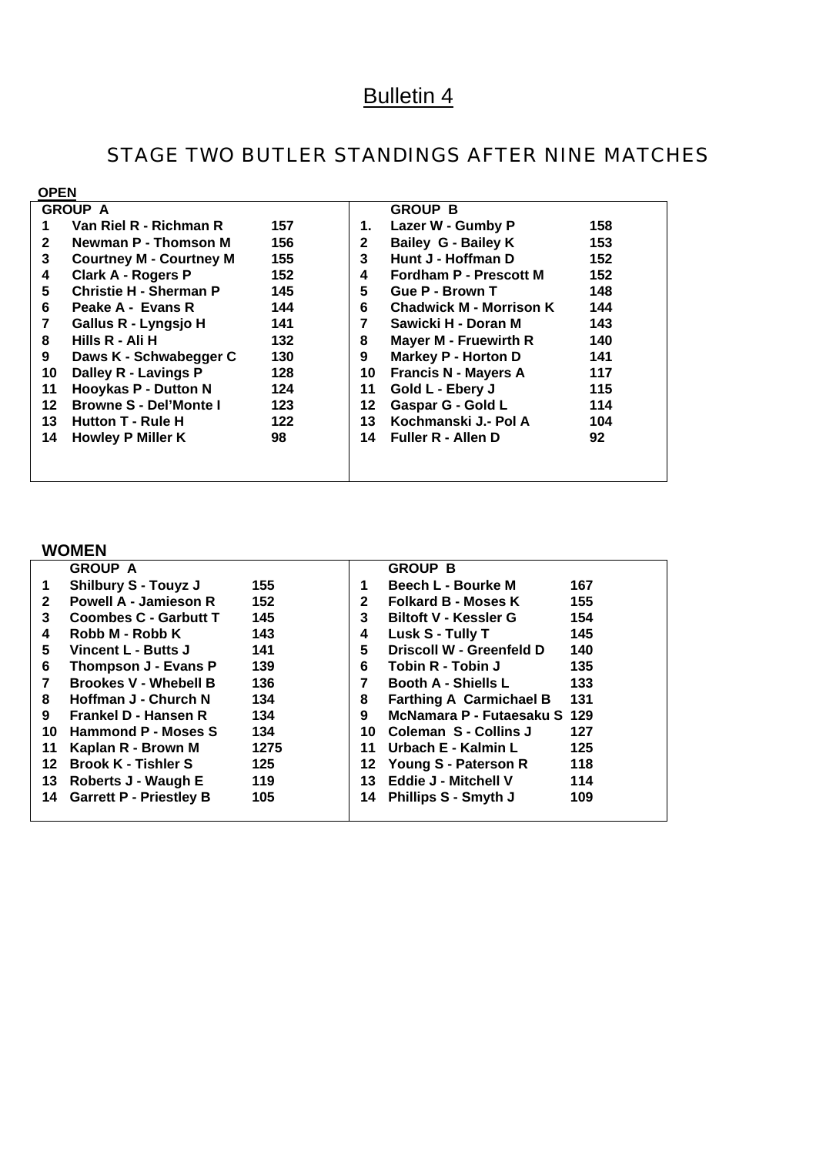# Bulletin 4

## STAGE TWO BUTLER STANDINGS AFTER NINE MATCHES

| <b>OPEN</b>  |                                |     |    |                                |     |
|--------------|--------------------------------|-----|----|--------------------------------|-----|
|              | <b>GROUP A</b>                 |     |    | <b>GROUP B</b>                 |     |
|              | Van Riel R - Richman R         | 157 | 1. | Lazer W - Gumby P              | 158 |
| $\mathbf{2}$ | <b>Newman P - Thomson M</b>    | 156 | 2  | <b>Bailey G - Bailey K</b>     | 153 |
| 3            | <b>Courtney M - Courtney M</b> | 155 | 3  | Hunt J - Hoffman D             | 152 |
| 4            | <b>Clark A - Rogers P</b>      | 152 | 4  | <b>Fordham P - Prescott M</b>  | 152 |
| 5            | <b>Christie H - Sherman P</b>  | 145 | 5  | Gue P - Brown T                | 148 |
| 6            | Peake A - Evans R              | 144 | 6  | <b>Chadwick M - Morrison K</b> | 144 |
| 7            | Gallus R - Lyngsjo H           | 141 |    | Sawicki H - Doran M            | 143 |
| 8            | Hills R - Ali H                | 132 | 8  | <b>Mayer M - Fruewirth R</b>   | 140 |
| 9            | Daws K - Schwabegger C         | 130 | 9  | <b>Markey P - Horton D</b>     | 141 |
| 10           | Dalley R - Lavings P           | 128 | 10 | <b>Francis N - Mayers A</b>    | 117 |
| 11           | <b>Hooykas P - Dutton N</b>    | 124 | 11 | Gold L - Ebery J               | 115 |
| $12 \,$      | <b>Browne S - Del'Monte I</b>  | 123 | 12 | Gaspar G - Gold L              | 114 |
| 13           | Hutton T - Rule H              | 122 | 13 | Kochmanski J.- Pol A           | 104 |
| 14           | <b>Howley P Miller K</b>       | 98  | 14 | <b>Fuller R - Allen D</b>      | 92  |
|              |                                |     |    |                                |     |
|              |                                |     |    |                                |     |

#### **WOMEN**

|              | <b>GROUP A</b>                 |      |              | <b>GROUP B</b>                 |     |
|--------------|--------------------------------|------|--------------|--------------------------------|-----|
|              | <b>Shilbury S - Touyz J</b>    | 155  |              | Beech L - Bourke M             | 167 |
| $\mathbf{2}$ | <b>Powell A - Jamieson R</b>   | 152  | $\mathbf{2}$ | <b>Folkard B - Moses K</b>     | 155 |
| 3            | <b>Coombes C - Garbutt T</b>   | 145  | 3            | <b>Biltoft V - Kessler G</b>   | 154 |
| 4            | Robb M - Robb K                | 143  | 4            | Lusk S - Tully T               | 145 |
| 5.           | Vincent L - Butts J            | 141  | 5            | Driscoll W - Greenfeld D       | 140 |
| 6            | Thompson J - Evans P           | 139  | 6            | Tobin R - Tobin J              | 135 |
|              | <b>Brookes V - Whebell B</b>   | 136  |              | <b>Booth A - Shiells L</b>     | 133 |
| 8            | Hoffman J - Church N           | 134  | 8            | <b>Farthing A Carmichael B</b> | 131 |
| 9            | Frankel D - Hansen R           | 134  | 9            | McNamara P - Futaesaku S 129   |     |
| 10           | Hammond P - Moses S            | 134  | 10           | <b>Coleman S - Collins J</b>   | 127 |
| 11           | Kaplan R - Brown M             | 1275 | 11           | Urbach E - Kalmin L            | 125 |
| 12           | <b>Brook K - Tishler S</b>     | 125  | 12           | Young S - Paterson R           | 118 |
| 13           | Roberts J - Waugh E            | 119  | 13           | Eddie J - Mitchell V           | 114 |
| 14           | <b>Garrett P - Priestley B</b> | 105  | 14           | <b>Phillips S - Smyth J</b>    | 109 |
|              |                                |      |              |                                |     |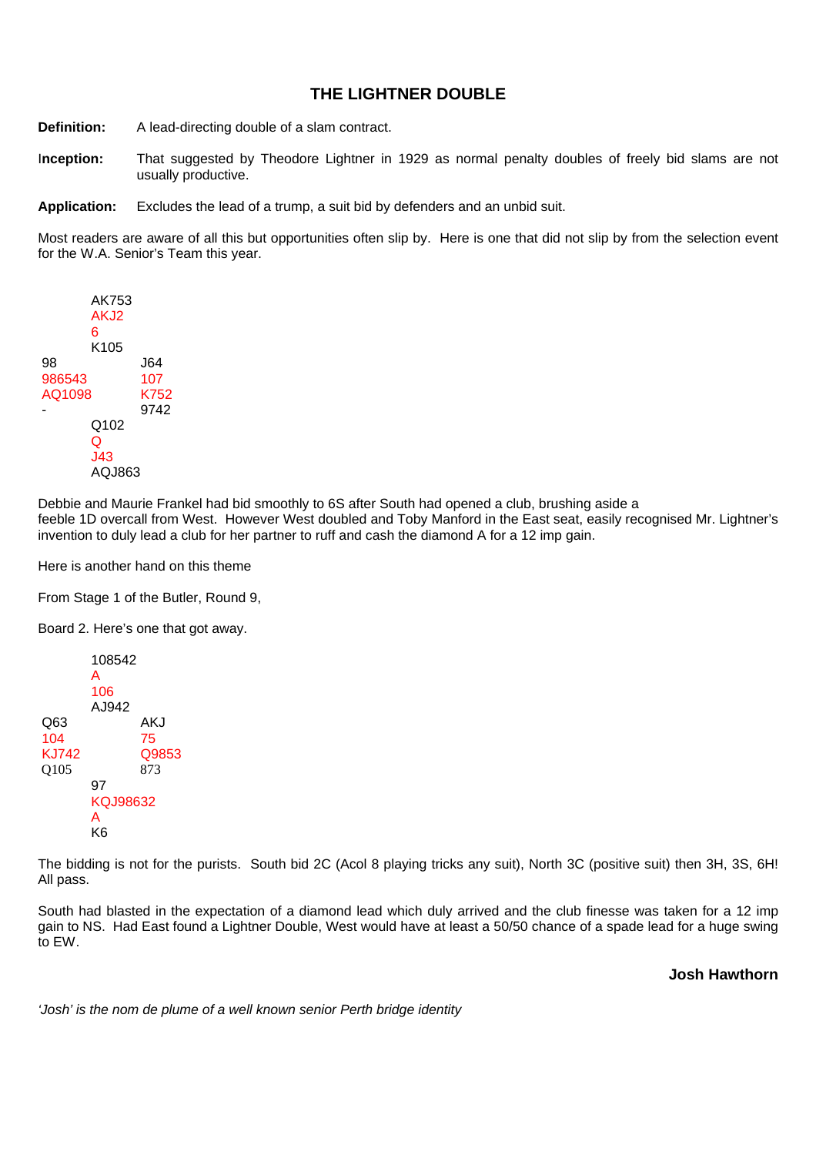### **THE LIGHTNER DOUBLE**

**Definition:** A lead-directing double of a slam contract.

I**nception:** That suggested by Theodore Lightner in 1929 as normal penalty doubles of freely bid slams are not usually productive.

**Application:** Excludes the lead of a trump, a suit bid by defenders and an unbid suit.

Most readers are aware of all this but opportunities often slip by. Here is one that did not slip by from the selection event for the W.A. Senior's Team this year.



Debbie and Maurie Frankel had bid smoothly to 6S after South had opened a club, brushing aside a feeble 1D overcall from West. However West doubled and Toby Manford in the East seat, easily recognised Mr. Lightner's invention to duly lead a club for her partner to ruff and cash the diamond A for a 12 imp gain.

Here is another hand on this theme

From Stage 1 of the Butler, Round 9,

Board 2. Here's one that got away.

 108542 A 106 AJ942 Q63 AKJ 104 75 KJ742 Q9853 Q105 873 97 KQJ98632 A K6

The bidding is not for the purists. South bid 2C (Acol 8 playing tricks any suit), North 3C (positive suit) then 3H, 3S, 6H! All pass.

South had blasted in the expectation of a diamond lead which duly arrived and the club finesse was taken for a 12 imp gain to NS. Had East found a Lightner Double, West would have at least a 50/50 chance of a spade lead for a huge swing to EW.

**Josh Hawthorn**

*'Josh' is the nom de plume of a well known senior Perth bridge identity*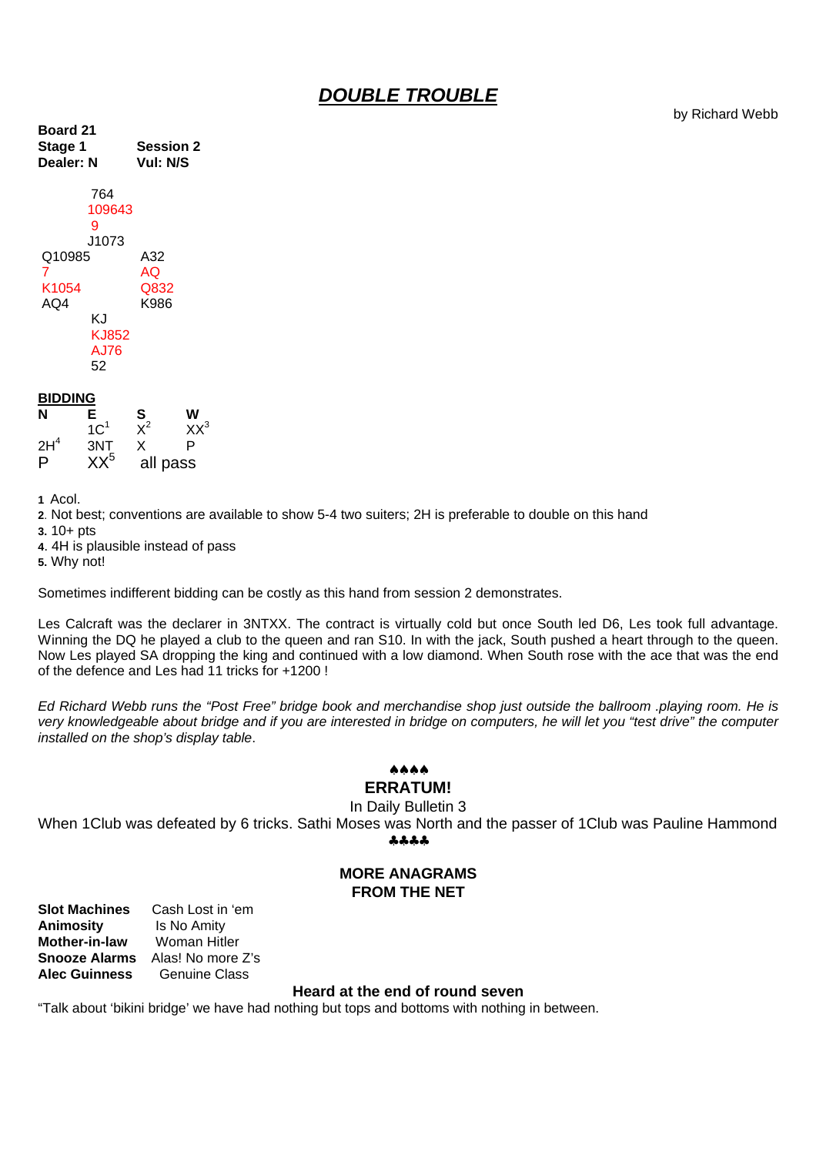### *DOUBLE TROUBLE*

by Richard Webb

| <b>Board 21</b><br>Stage 1<br>Dealer: N                                                   | Session 2<br>Vul: N/S     |  |
|-------------------------------------------------------------------------------------------|---------------------------|--|
| 764<br>109643<br>9<br>J1073<br>Q10985<br>7<br>K1054<br>AQ4<br>K.I<br>KJ852<br>A.J76<br>52 | A32<br>AQ<br>Q832<br>K986 |  |

#### **BIDDING**

| N               | E.              | S        | w        |
|-----------------|-----------------|----------|----------|
|                 | 1C <sup>1</sup> | $\chi^2$ | $XX^3$   |
| 2H <sup>4</sup> | 3NT             | x        | P        |
| P               | $XX^5$          |          | all pass |

**1** Acol.

**2**. Not best; conventions are available to show 5-4 two suiters; 2H is preferable to double on this hand

**3.** 10+ pts

**4**. 4H is plausible instead of pass

**5.** Why not!

Sometimes indifferent bidding can be costly as this hand from session 2 demonstrates.

Les Calcraft was the declarer in 3NTXX. The contract is virtually cold but once South led D6, Les took full advantage. Winning the DQ he played a club to the queen and ran S10. In with the jack, South pushed a heart through to the queen. Now Les played SA dropping the king and continued with a low diamond. When South rose with the ace that was the end of the defence and Les had 11 tricks for +1200 !

*Ed Richard Webb runs the "Post Free" bridge book and merchandise shop just outside the ballroom .playing room. He is very knowledgeable about bridge and if you are interested in bridge on computers, he will let you "test drive" the computer installed on the shop's display table*.

### ♠♠♠♠

## **ERRATUM!**

In Daily Bulletin 3

When 1Club was defeated by 6 tricks. Sathi Moses was North and the passer of 1Club was Pauline Hammond

♣♣♣♣

#### **MORE ANAGRAMS FROM THE NET**

**Slot Machines** Cash Lost in 'em **Animosity** Is No Amity<br> **Mother-in-law** Woman Hitler **Mother-in-law Snooze Alarms** Alas! No more Z's **Alec Guinness** Genuine Class

#### **Heard at the end of round seven**

"Talk about 'bikini bridge' we have had nothing but tops and bottoms with nothing in between.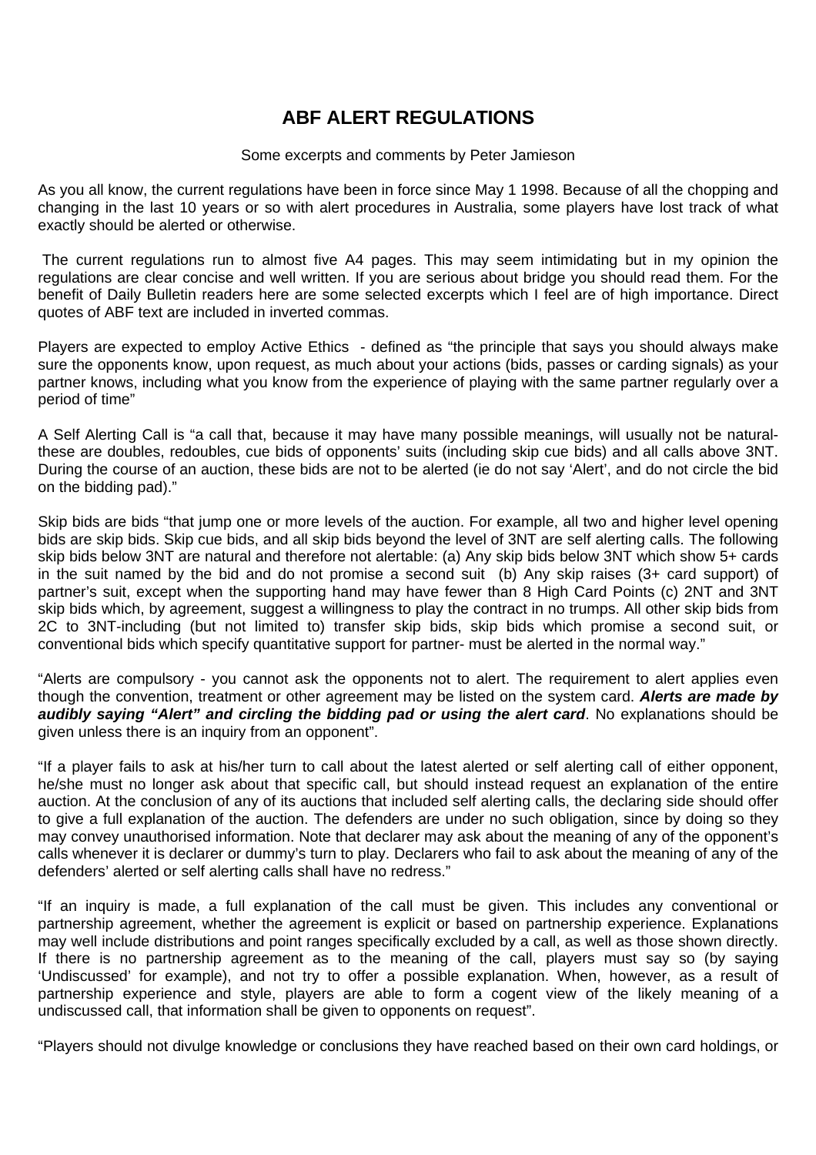### **ABF ALERT REGULATIONS**

#### Some excerpts and comments by Peter Jamieson

As you all know, the current regulations have been in force since May 1 1998. Because of all the chopping and changing in the last 10 years or so with alert procedures in Australia, some players have lost track of what exactly should be alerted or otherwise.

 The current regulations run to almost five A4 pages. This may seem intimidating but in my opinion the regulations are clear concise and well written. If you are serious about bridge you should read them. For the benefit of Daily Bulletin readers here are some selected excerpts which I feel are of high importance. Direct quotes of ABF text are included in inverted commas.

Players are expected to employ Active Ethics - defined as "the principle that says you should always make sure the opponents know, upon request, as much about your actions (bids, passes or carding signals) as your partner knows, including what you know from the experience of playing with the same partner regularly over a period of time"

A Self Alerting Call is "a call that, because it may have many possible meanings, will usually not be naturalthese are doubles, redoubles, cue bids of opponents' suits (including skip cue bids) and all calls above 3NT. During the course of an auction, these bids are not to be alerted (ie do not say 'Alert', and do not circle the bid on the bidding pad)."

Skip bids are bids "that jump one or more levels of the auction. For example, all two and higher level opening bids are skip bids. Skip cue bids, and all skip bids beyond the level of 3NT are self alerting calls. The following skip bids below 3NT are natural and therefore not alertable: (a) Any skip bids below 3NT which show 5+ cards in the suit named by the bid and do not promise a second suit (b) Any skip raises (3+ card support) of partner's suit, except when the supporting hand may have fewer than 8 High Card Points (c) 2NT and 3NT skip bids which, by agreement, suggest a willingness to play the contract in no trumps. All other skip bids from 2C to 3NT-including (but not limited to) transfer skip bids, skip bids which promise a second suit, or conventional bids which specify quantitative support for partner- must be alerted in the normal way."

"Alerts are compulsory - you cannot ask the opponents not to alert. The requirement to alert applies even though the convention, treatment or other agreement may be listed on the system card. *Alerts are made by audibly saying "Alert" and circling the bidding pad or using the alert card*. No explanations should be given unless there is an inquiry from an opponent".

"If a player fails to ask at his/her turn to call about the latest alerted or self alerting call of either opponent, he/she must no longer ask about that specific call, but should instead request an explanation of the entire auction. At the conclusion of any of its auctions that included self alerting calls, the declaring side should offer to give a full explanation of the auction. The defenders are under no such obligation, since by doing so they may convey unauthorised information. Note that declarer may ask about the meaning of any of the opponent's calls whenever it is declarer or dummy's turn to play. Declarers who fail to ask about the meaning of any of the defenders' alerted or self alerting calls shall have no redress."

"If an inquiry is made, a full explanation of the call must be given. This includes any conventional or partnership agreement, whether the agreement is explicit or based on partnership experience. Explanations may well include distributions and point ranges specifically excluded by a call, as well as those shown directly. If there is no partnership agreement as to the meaning of the call, players must say so (by saying 'Undiscussed' for example), and not try to offer a possible explanation. When, however, as a result of partnership experience and style, players are able to form a cogent view of the likely meaning of a undiscussed call, that information shall be given to opponents on request".

"Players should not divulge knowledge or conclusions they have reached based on their own card holdings, or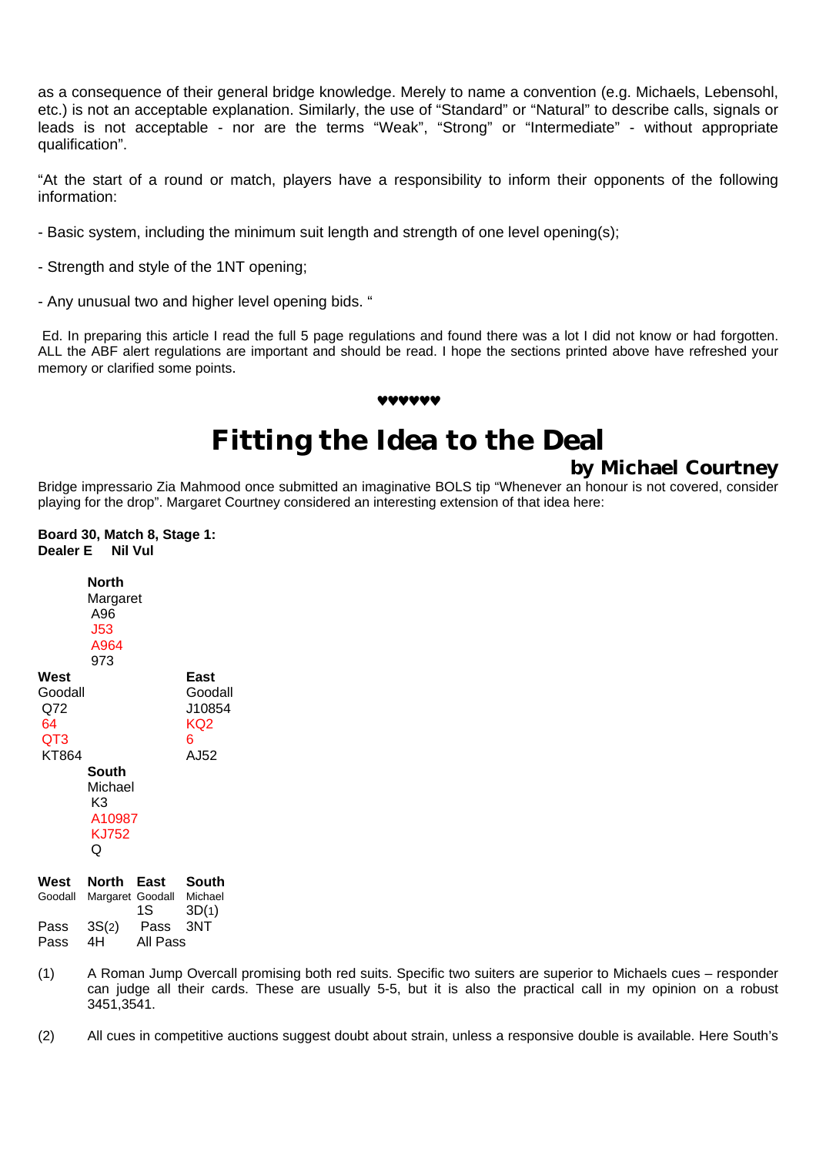as a consequence of their general bridge knowledge. Merely to name a convention (e.g. Michaels, Lebensohl, etc.) is not an acceptable explanation. Similarly, the use of "Standard" or "Natural" to describe calls, signals or leads is not acceptable - nor are the terms "Weak", "Strong" or "Intermediate" - without appropriate qualification".

"At the start of a round or match, players have a responsibility to inform their opponents of the following information:

- Basic system, including the minimum suit length and strength of one level opening(s);
- Strength and style of the 1NT opening;
- Any unusual two and higher level opening bids. "

Ed. In preparing this article I read the full 5 page regulations and found there was a lot I did not know or had forgotten. ALL the ABF alert regulations are important and should be read. I hope the sections printed above have refreshed your memory or clarified some points.

# **Fitting the Idea to the Deal**

♥♥♥♥♥♥

**by Michael Courtney**

Bridge impressario Zia Mahmood once submitted an imaginative BOLS tip "Whenever an honour is not covered, consider playing for the drop". Margaret Courtney considered an interesting extension of that idea here:

**Board 30, Match 8, Stage 1: Dealer E Nil Vul**

|                                              | North<br>Margaret<br>A96<br><b>J53</b><br>A964<br>973 |                          |                                               |
|----------------------------------------------|-------------------------------------------------------|--------------------------|-----------------------------------------------|
| West<br>Goodall<br>Q72<br>64<br>QT3<br>KT864 |                                                       |                          | East<br>Goodall<br>J10854<br>KQ2<br>6<br>AJ52 |
|                                              | South<br>Michael<br>K3<br>A10987<br>KJ752<br>Q        |                          |                                               |
| West<br>Goodall                              | North                                                 | East<br>Margaret Goodall | South<br>Michael                              |

|      | Goodall Margaret Goodall |          | Michael |
|------|--------------------------|----------|---------|
|      |                          | 1S -     | 3D(1)   |
| Pass | 3S(2)                    | Pass 3NT |         |
| Pass | 4H                       | All Pass |         |

(1) A Roman Jump Overcall promising both red suits. Specific two suiters are superior to Michaels cues – responder can judge all their cards. These are usually 5-5, but it is also the practical call in my opinion on a robust 3451,3541.

(2) All cues in competitive auctions suggest doubt about strain, unless a responsive double is available. Here South's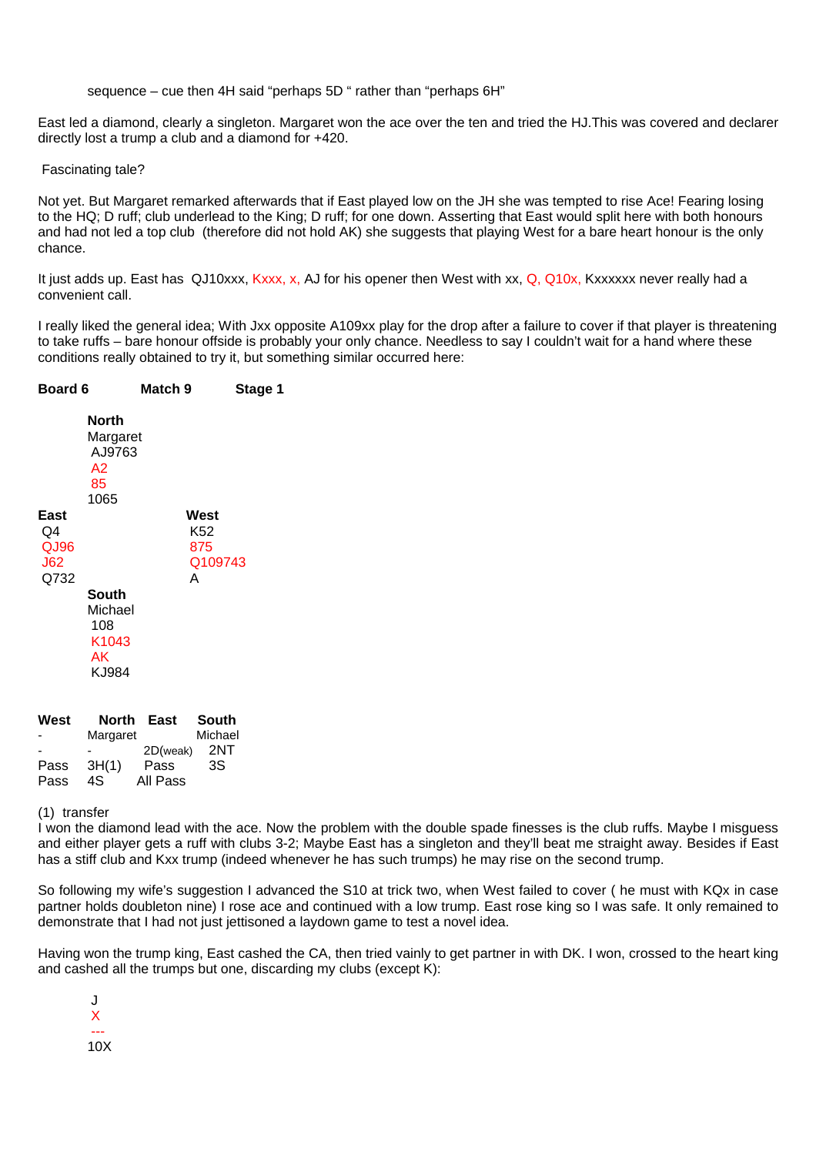sequence – cue then 4H said "perhaps 5D " rather than "perhaps 6H"

East led a diamond, clearly a singleton. Margaret won the ace over the ten and tried the HJ.This was covered and declarer directly lost a trump a club and a diamond for +420.

Fascinating tale?

Not yet. But Margaret remarked afterwards that if East played low on the JH she was tempted to rise Ace! Fearing losing to the HQ; D ruff; club underlead to the King; D ruff; for one down. Asserting that East would split here with both honours and had not led a top club (therefore did not hold AK) she suggests that playing West for a bare heart honour is the only chance.

It just adds up. East has QJ10xxx, Kxxx, x, AJ for his opener then West with xx, Q, Q10x, Kxxxxxx never really had a convenient call.

I really liked the general idea; With Jxx opposite A109xx play for the drop after a failure to cover if that player is threatening to take ruffs – bare honour offside is probably your only chance. Needless to say I couldn't wait for a hand where these conditions really obtained to try it, but something similar occurred here:

| <b>Board 6</b>                                                                                     | Match 9                                                                    | Stage 1 |
|----------------------------------------------------------------------------------------------------|----------------------------------------------------------------------------|---------|
| North<br>A2<br>85<br>1065<br>East<br>Q4<br>QJ96<br><b>J62</b><br>Q732<br><b>South</b><br>108<br>AK | Margaret<br>AJ9763<br>West<br>K52<br>875<br>А<br>Michael<br>K1043<br>KJ984 | Q109743 |

| West | North    | East     | <b>South</b> |
|------|----------|----------|--------------|
|      | Margaret |          | Michael      |
|      |          | 2D(weak) | 2NT          |
| Pass | 3H(1)    | Pass     | 3S           |
| Pass | 4S.      | All Pass |              |

(1) transfer

I won the diamond lead with the ace. Now the problem with the double spade finesses is the club ruffs. Maybe I misguess and either player gets a ruff with clubs 3-2; Maybe East has a singleton and they'll beat me straight away. Besides if East has a stiff club and Kxx trump (indeed whenever he has such trumps) he may rise on the second trump.

So following my wife's suggestion I advanced the S10 at trick two, when West failed to cover ( he must with KQx in case partner holds doubleton nine) I rose ace and continued with a low trump. East rose king so I was safe. It only remained to demonstrate that I had not just jettisoned a laydown game to test a novel idea.

Having won the trump king, East cashed the CA, then tried vainly to get partner in with DK. I won, crossed to the heart king and cashed all the trumps but one, discarding my clubs (except K):

 J X --- 10X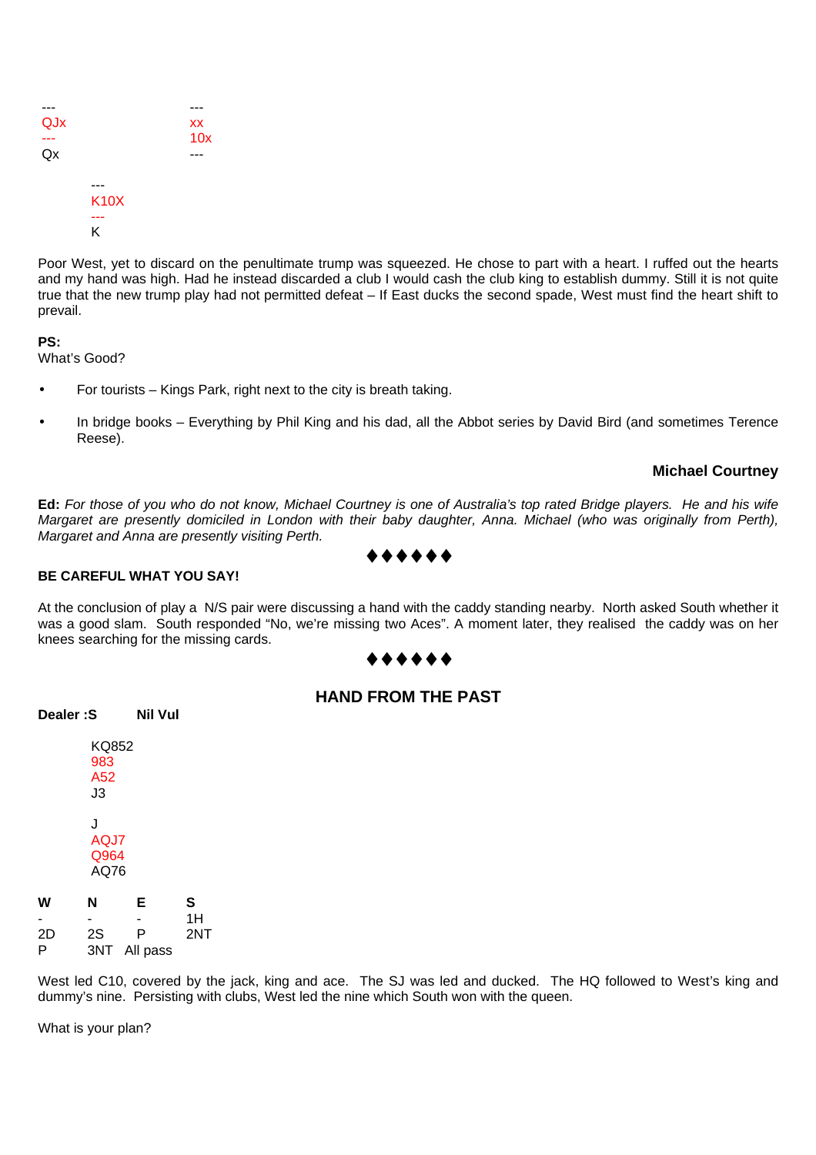| QJx |             | XX  |
|-----|-------------|-----|
|     |             | 10x |
| Qx  |             |     |
|     |             |     |
|     | <b>K10X</b> |     |
|     |             |     |
|     | Κ           |     |

Poor West, yet to discard on the penultimate trump was squeezed. He chose to part with a heart. I ruffed out the hearts and my hand was high. Had he instead discarded a club I would cash the club king to establish dummy. Still it is not quite true that the new trump play had not permitted defeat – If East ducks the second spade, West must find the heart shift to prevail.

**PS:**

What's Good?

- For tourists Kings Park, right next to the city is breath taking.
- In bridge books Everything by Phil King and his dad, all the Abbot series by David Bird (and sometimes Terence Reese).

#### **Michael Courtney**

**Ed:** *For those of you who do not know, Michael Courtney is one of Australia's top rated Bridge players. He and his wife Margaret are presently domiciled in London with their baby daughter, Anna. Michael (who was originally from Perth), Margaret and Anna are presently visiting Perth.*

#### **BE CAREFUL WHAT YOU SAY!**

At the conclusion of play a N/S pair were discussing a hand with the caddy standing nearby. North asked South whether it was a good slam. South responded "No, we're missing two Aces". A moment later, they realised the caddy was on her knees searching for the missing cards.

#### ♦♦♦♦♦♦

|  | <b>HAND FROM THE PAST</b> |
|--|---------------------------|
|--|---------------------------|

|    | KQ852<br>983<br>A52<br>J3 |              |     |
|----|---------------------------|--------------|-----|
|    | J<br>AQJ7<br>Q964<br>AQ76 |              |     |
| w  | N                         | Е            | S   |
|    | $\blacksquare$            |              | 1H  |
| 2D | 2S                        | P            | 2NT |
| P  |                           | 3NT All pass |     |

**Dealer :S Nil Vul**

West led C10, covered by the jack, king and ace. The SJ was led and ducked. The HQ followed to West's king and dummy's nine. Persisting with clubs, West led the nine which South won with the queen.

What is your plan?

### ♦♦♦♦♦♦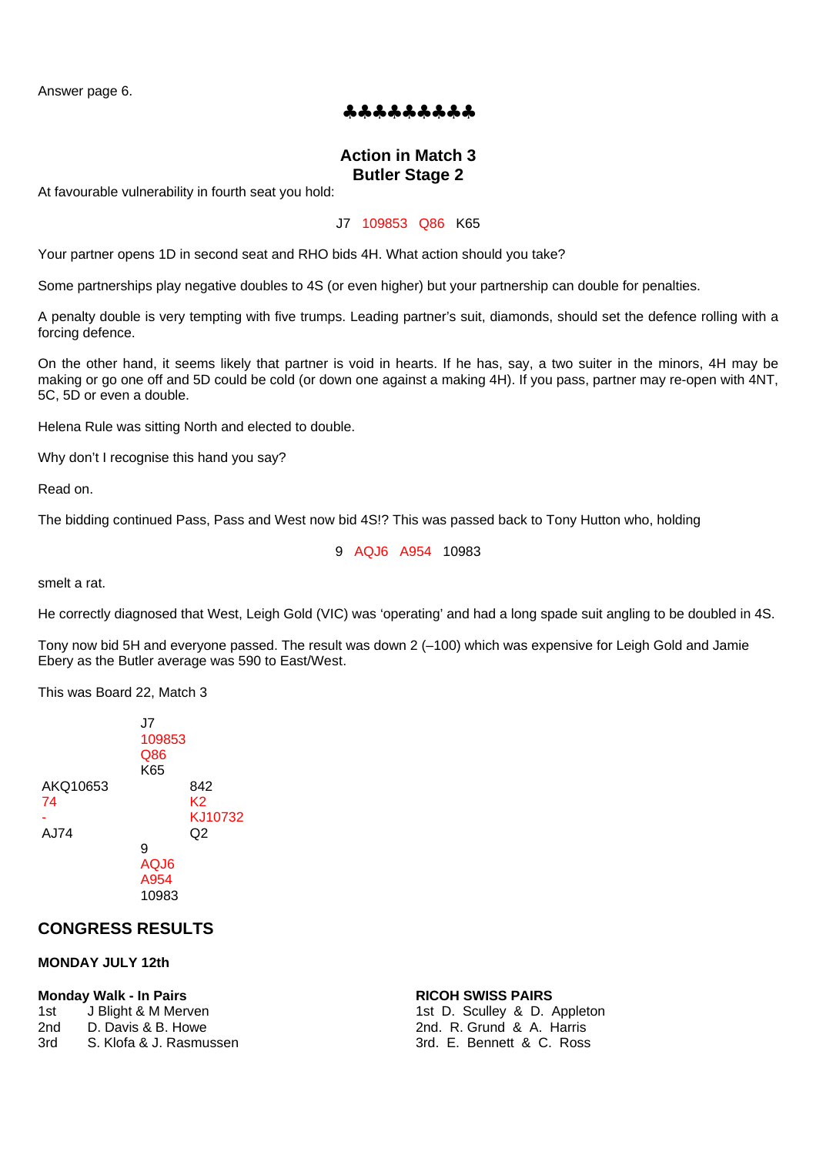Answer page 6.

#### ♣♣♣♣♣♣♣♣♣

#### **Action in Match 3 Butler Stage 2**

At favourable vulnerability in fourth seat you hold:

#### J7 109853 Q86 K65

Your partner opens 1D in second seat and RHO bids 4H. What action should you take?

Some partnerships play negative doubles to 4S (or even higher) but your partnership can double for penalties.

A penalty double is very tempting with five trumps. Leading partner's suit, diamonds, should set the defence rolling with a forcing defence.

On the other hand, it seems likely that partner is void in hearts. If he has, say, a two suiter in the minors, 4H may be making or go one off and 5D could be cold (or down one against a making 4H). If you pass, partner may re-open with 4NT, 5C, 5D or even a double.

Helena Rule was sitting North and elected to double.

Why don't I recognise this hand you say?

Read on.

The bidding continued Pass, Pass and West now bid 4S!? This was passed back to Tony Hutton who, holding

9 AQJ6 A954 10983

smelt a rat.

He correctly diagnosed that West, Leigh Gold (VIC) was 'operating' and had a long spade suit angling to be doubled in 4S.

Tony now bid 5H and everyone passed. The result was down 2 (–100) which was expensive for Leigh Gold and Jamie Ebery as the Butler average was 590 to East/West.

This was Board 22, Match 3

|                        | J7<br>109853<br>Q86<br>K65 |                            |
|------------------------|----------------------------|----------------------------|
| AKQ10653<br>74<br>AJ74 |                            | 842<br>K2<br>KJ10732<br>Q2 |
|                        | 9<br>AQJ6<br>A954<br>10983 |                            |

#### **CONGRESS RESULTS**

#### **MONDAY JULY 12th**

#### **Monday Walk - In Pairs RICOH SWISS PAIRS**

| 1st | J Blight & M Merven     |
|-----|-------------------------|
| 2nd | D. Davis & B. Howe      |
| 3rd | S. Klofa & J. Rasmussen |

1st D. Sculley & D. Appleton 2nd. R. Grund & A. Harris 3rd. E. Bennett & C. Ross